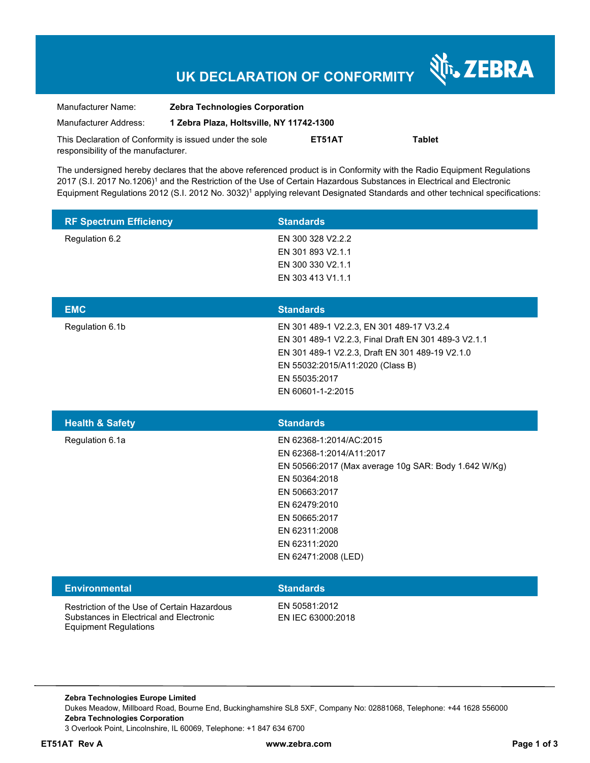# **UK DECLARATION OF CONFORMITY**

Nr. ZEBRA

| Manufacturer Name:                                      | <b>Zebra Technologies Corporation</b>    |        |               |  |
|---------------------------------------------------------|------------------------------------------|--------|---------------|--|
| Manufacturer Address:                                   | 1 Zebra Plaza, Holtsville, NY 11742-1300 |        |               |  |
| This Declaration of Conformity is issued under the sole |                                          | ET51AT | <b>Tablet</b> |  |
| responsibility of the manufacturer.                     |                                          |        |               |  |

The undersigned hereby declares that the above referenced product is in Conformity with the Radio Equipment Regulations 2017 (S.I. 2017 No.1206)<sup>1</sup> and the Restriction of the Use of Certain Hazardous Substances in Electrical and Electronic Equipment Regulations 2012 (S.I. 2012 No. 3032)<sup>1</sup> applying relevant Designated Standards and other technical specifications:

| <b>RF Spectrum Efficiency</b>                                                                                          | <b>Standards</b>                                                                                                                                                                                                                         |
|------------------------------------------------------------------------------------------------------------------------|------------------------------------------------------------------------------------------------------------------------------------------------------------------------------------------------------------------------------------------|
| Regulation 6.2                                                                                                         | EN 300 328 V2.2.2<br>EN 301 893 V2.1.1<br>EN 300 330 V2.1.1<br>EN 303 413 V1.1.1                                                                                                                                                         |
| <b>EMC</b>                                                                                                             | <b>Standards</b>                                                                                                                                                                                                                         |
| Regulation 6.1b                                                                                                        | EN 301 489-1 V2.2.3, EN 301 489-17 V3.2.4<br>EN 301 489-1 V2.2.3, Final Draft EN 301 489-3 V2.1.1<br>EN 301 489-1 V2.2.3, Draft EN 301 489-19 V2.1.0<br>EN 55032:2015/A11:2020 (Class B)<br>EN 55035:2017<br>EN 60601-1-2:2015           |
| <b>Health &amp; Safety</b>                                                                                             | <b>Standards</b>                                                                                                                                                                                                                         |
| Regulation 6.1a                                                                                                        | EN 62368-1:2014/AC:2015<br>EN 62368-1:2014/A11:2017<br>EN 50566:2017 (Max average 10g SAR: Body 1.642 W/Kg)<br>EN 50364:2018<br>EN 50663:2017<br>EN 62479:2010<br>EN 50665:2017<br>EN 62311:2008<br>EN 62311:2020<br>EN 62471:2008 (LED) |
| <b>Environmental</b>                                                                                                   | <b>Standards</b>                                                                                                                                                                                                                         |
| Restriction of the Use of Certain Hazardous<br>Substances in Electrical and Electronic<br><b>Equipment Regulations</b> | EN 50581:2012<br>EN IEC 63000:2018                                                                                                                                                                                                       |

**Zebra Technologies Europe Limited**  Dukes Meadow, Millboard Road, Bourne End, Buckinghamshire SL8 5XF, Company No: 02881068, Telephone: +44 1628 556000 **Zebra Technologies Corporation**  3 Overlook Point, Lincolnshire, IL 60069, Telephone: +1 847 634 6700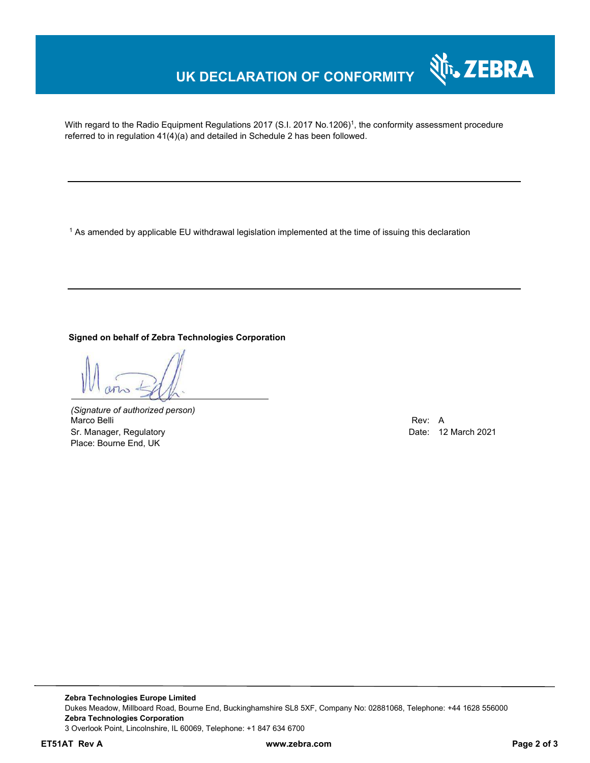## **UK DECLARATION OF CONFORMITY**

With regard to the Radio Equipment Regulations 2017 (S.I. 2017 No.1206)<sup>1</sup>, the conformity assessment procedure referred to in regulation 41(4)(a) and detailed in Schedule 2 has been followed.

 $^{\rm 1}$  As amended by applicable EU withdrawal legislation implemented at the time of issuing this declaration

#### **Signed on behalf of Zebra Technologies Corporation**

*(Signature of authorized person)* Marco Belli Rev: A Sr. Manager, Regulatory **Date: 12 March 2021** Control and Date: 12 March 2021 Place: Bourne End, UK

र्शे<sub>ि</sub>, ZEBRA

**Zebra Technologies Europe Limited**  Dukes Meadow, Millboard Road, Bourne End, Buckinghamshire SL8 5XF, Company No: 02881068, Telephone: +44 1628 556000 **Zebra Technologies Corporation**  3 Overlook Point, Lincolnshire, IL 60069, Telephone: +1 847 634 6700